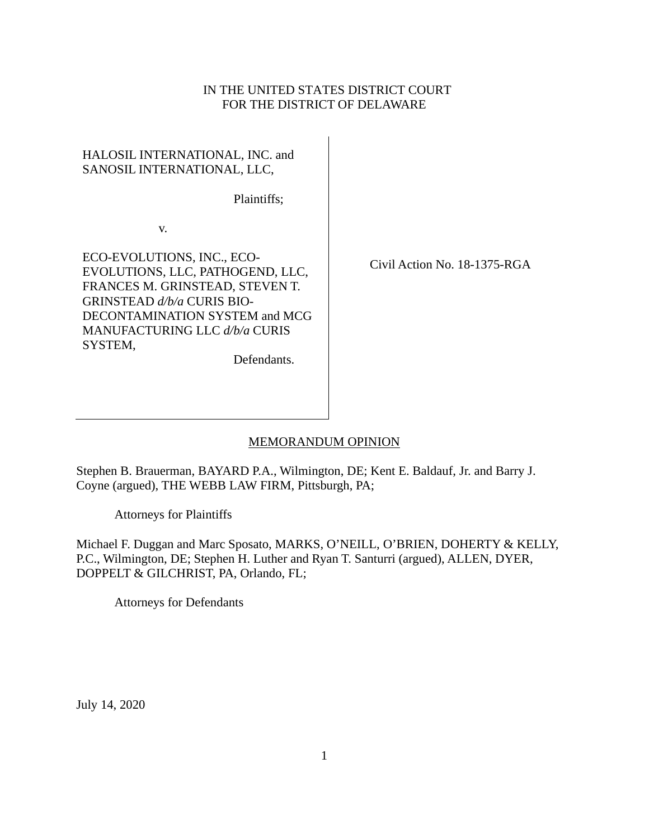## IN THE UNITED STATES DISTRICT COURT FOR THE DISTRICT OF DELAWARE

| HALOSIL INTERNATIONAL, INC. and<br>SANOSIL INTERNATIONAL, LLC,<br>Plaintiffs;                                                                                                                                                      |              |
|------------------------------------------------------------------------------------------------------------------------------------------------------------------------------------------------------------------------------------|--------------|
| V.<br>ECO-EVOLUTIONS, INC., ECO-<br>EVOLUTIONS, LLC, PATHOGEND, LLC,<br>FRANCES M. GRINSTEAD, STEVEN T.<br>GRINSTEAD d/b/a CURIS BIO-<br>DECONTAMINATION SYSTEM and MCG<br>MANUFACTURING LLC d/b/a CURIS<br>SYSTEM,<br>Defendants. | Civil Action |

1 No. 18-1375-RGA

## MEMORANDUM OPINION

Stephen B. Brauerman, BAYARD P.A., Wilmington, DE; Kent E. Baldauf, Jr. and Barry J. Coyne (argued), THE WEBB LAW FIRM, Pittsburgh, PA;

Attorneys for Plaintiffs

Michael F. Duggan and Marc Sposato, MARKS, O'NEILL, O'BRIEN, DOHERTY & KELLY, P.C., Wilmington, DE; Stephen H. Luther and Ryan T. Santurri (argued), ALLEN, DYER, DOPPELT & GILCHRIST, PA, Orlando, FL;

Attorneys for Defendants

July 14, 2020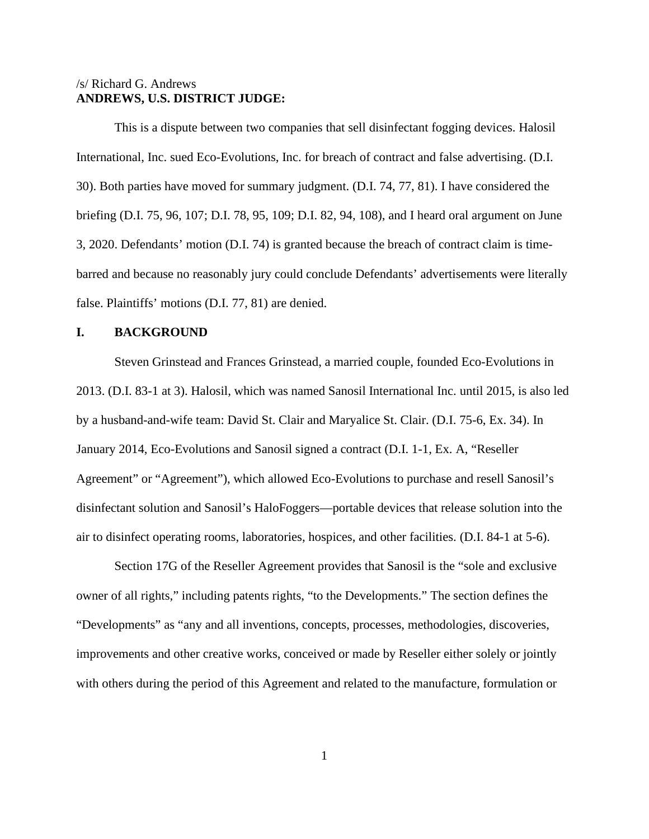## /s/ Richard G. Andrews **ANDREWS, U.S. DISTRICT JUDGE:**

This is a dispute between two companies that sell disinfectant fogging devices. Halosil International, Inc. sued Eco-Evolutions, Inc. for breach of contract and false advertising. (D.I. 30). Both parties have moved for summary judgment. (D.I. 74, 77, 81). I have considered the briefing (D.I. 75, 96, 107; D.I. 78, 95, 109; D.I. 82, 94, 108), and I heard oral argument on June 3, 2020. Defendants' motion (D.I. 74) is granted because the breach of contract claim is timebarred and because no reasonably jury could conclude Defendants' advertisements were literally false. Plaintiffs' motions (D.I. 77, 81) are denied.

## **I. BACKGROUND**

Steven Grinstead and Frances Grinstead, a married couple, founded Eco-Evolutions in 2013. (D.I. 83-1 at 3). Halosil, which was named Sanosil International Inc. until 2015, is also led by a husband-and-wife team: David St. Clair and Maryalice St. Clair. (D.I. 75-6, Ex. 34). In January 2014, Eco-Evolutions and Sanosil signed a contract (D.I. 1-1, Ex. A, "Reseller Agreement" or "Agreement"), which allowed Eco-Evolutions to purchase and resell Sanosil's disinfectant solution and Sanosil's HaloFoggers—portable devices that release solution into the air to disinfect operating rooms, laboratories, hospices, and other facilities. (D.I. 84-1 at 5-6).

Section 17G of the Reseller Agreement provides that Sanosil is the "sole and exclusive owner of all rights," including patents rights, "to the Developments." The section defines the "Developments" as "any and all inventions, concepts, processes, methodologies, discoveries, improvements and other creative works, conceived or made by Reseller either solely or jointly with others during the period of this Agreement and related to the manufacture, formulation or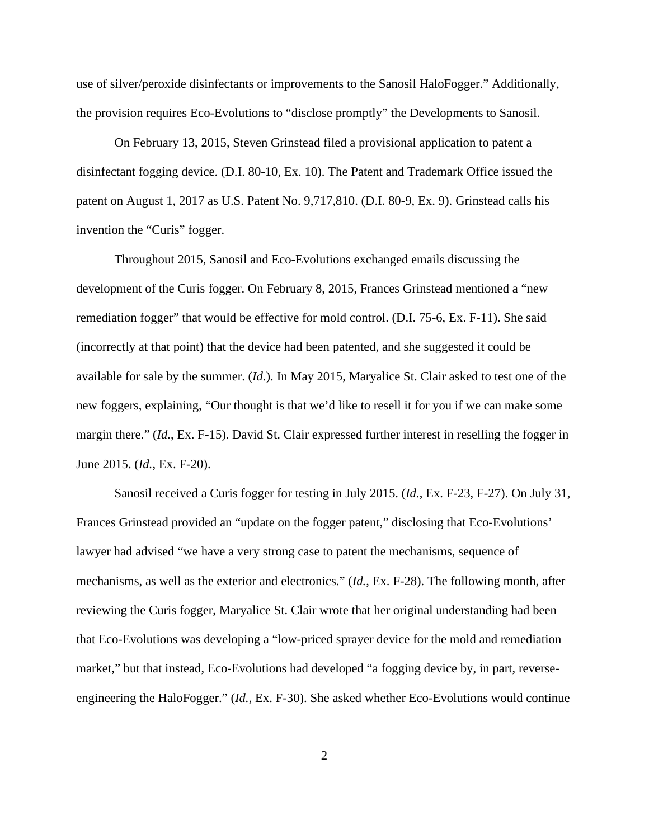use of silver/peroxide disinfectants or improvements to the Sanosil HaloFogger." Additionally, the provision requires Eco-Evolutions to "disclose promptly" the Developments to Sanosil.

On February 13, 2015, Steven Grinstead filed a provisional application to patent a disinfectant fogging device. (D.I. 80-10, Ex. 10). The Patent and Trademark Office issued the patent on August 1, 2017 as U.S. Patent No. 9,717,810. (D.I. 80-9, Ex. 9). Grinstead calls his invention the "Curis" fogger.

Throughout 2015, Sanosil and Eco-Evolutions exchanged emails discussing the development of the Curis fogger. On February 8, 2015, Frances Grinstead mentioned a "new remediation fogger" that would be effective for mold control. (D.I. 75-6, Ex. F-11). She said (incorrectly at that point) that the device had been patented, and she suggested it could be available for sale by the summer. (*Id.*). In May 2015, Maryalice St. Clair asked to test one of the new foggers, explaining, "Our thought is that we'd like to resell it for you if we can make some margin there." (*Id.*, Ex. F-15). David St. Clair expressed further interest in reselling the fogger in June 2015. (*Id.*, Ex. F-20).

Sanosil received a Curis fogger for testing in July 2015. (*Id.*, Ex. F-23, F-27). On July 31, Frances Grinstead provided an "update on the fogger patent," disclosing that Eco-Evolutions' lawyer had advised "we have a very strong case to patent the mechanisms, sequence of mechanisms, as well as the exterior and electronics." (*Id.*, Ex. F-28). The following month, after reviewing the Curis fogger, Maryalice St. Clair wrote that her original understanding had been that Eco-Evolutions was developing a "low-priced sprayer device for the mold and remediation market," but that instead, Eco-Evolutions had developed "a fogging device by, in part, reverseengineering the HaloFogger." (*Id.*, Ex. F-30). She asked whether Eco-Evolutions would continue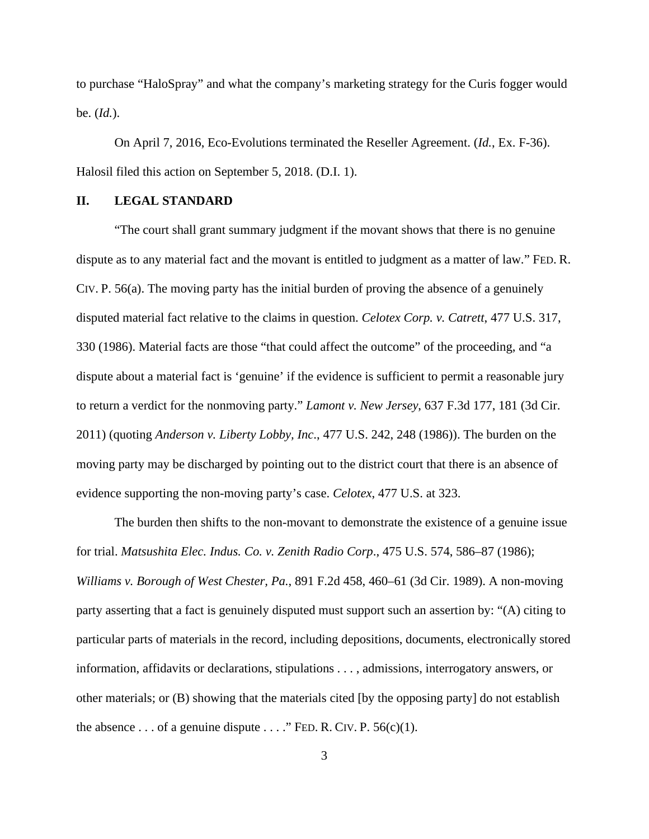to purchase "HaloSpray" and what the company's marketing strategy for the Curis fogger would be. (*Id.*).

On April 7, 2016, Eco-Evolutions terminated the Reseller Agreement. (*Id.*, Ex. F-36). Halosil filed this action on September 5, 2018. (D.I. 1).

#### **II. LEGAL STANDARD**

"The court shall grant summary judgment if the movant shows that there is no genuine dispute as to any material fact and the movant is entitled to judgment as a matter of law." FED. R. CIV. P. 56(a). The moving party has the initial burden of proving the absence of a genuinely disputed material fact relative to the claims in question. *Celotex Corp. v. Catrett*, 477 U.S. 317, 330 (1986). Material facts are those "that could affect the outcome" of the proceeding, and "a dispute about a material fact is 'genuine' if the evidence is sufficient to permit a reasonable jury to return a verdict for the nonmoving party." *Lamont v. New Jersey*, 637 F.3d 177, 181 (3d Cir. 2011) (quoting *Anderson v. Liberty Lobby, Inc*., 477 U.S. 242, 248 (1986)). The burden on the moving party may be discharged by pointing out to the district court that there is an absence of evidence supporting the non-moving party's case. *Celotex*, 477 U.S. at 323.

The burden then shifts to the non-movant to demonstrate the existence of a genuine issue for trial. *Matsushita Elec. Indus. Co. v. Zenith Radio Corp*., 475 U.S. 574, 586–87 (1986); *Williams v. Borough of West Chester, Pa.*, 891 F.2d 458, 460–61 (3d Cir. 1989). A non-moving party asserting that a fact is genuinely disputed must support such an assertion by: "(A) citing to particular parts of materials in the record, including depositions, documents, electronically stored information, affidavits or declarations, stipulations . . . , admissions, interrogatory answers, or other materials; or (B) showing that the materials cited [by the opposing party] do not establish the absence . . . of a genuine dispute . . . ." FED. R. CIV. P.  $56(c)(1)$ .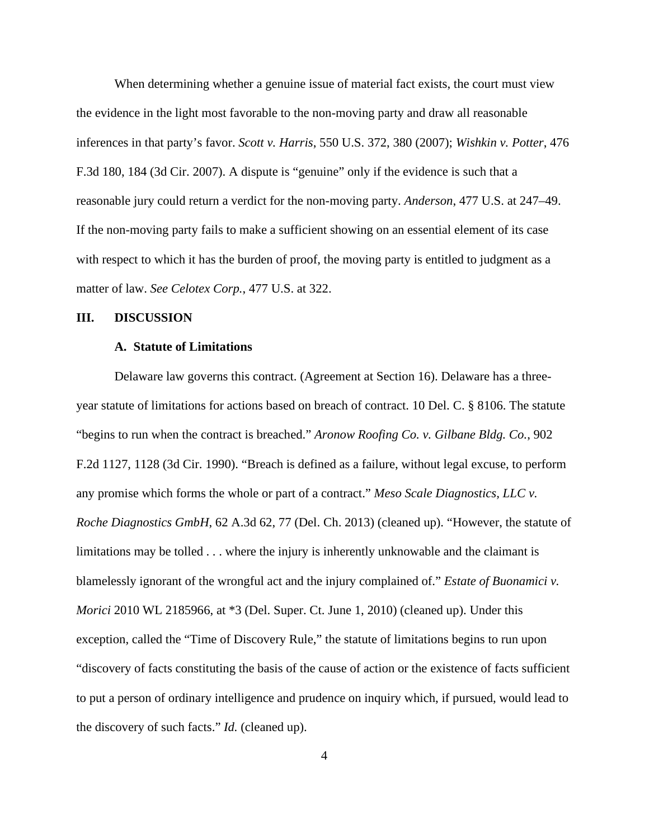When determining whether a genuine issue of material fact exists, the court must view the evidence in the light most favorable to the non-moving party and draw all reasonable inferences in that party's favor. *Scott v. Harris*, 550 U.S. 372, 380 (2007); *Wishkin v. Potter*, 476 F.3d 180, 184 (3d Cir. 2007). A dispute is "genuine" only if the evidence is such that a reasonable jury could return a verdict for the non-moving party. *Anderson*, 477 U.S. at 247–49. If the non-moving party fails to make a sufficient showing on an essential element of its case with respect to which it has the burden of proof, the moving party is entitled to judgment as a matter of law. *See Celotex Corp.*, 477 U.S. at 322.

#### **III. DISCUSSION**

#### **A. Statute of Limitations**

Delaware law governs this contract. (Agreement at Section 16). Delaware has a threeyear statute of limitations for actions based on breach of contract. 10 Del. C. § 8106. The statute "begins to run when the contract is breached." *Aronow Roofing Co. v. Gilbane Bldg. Co.*, 902 F.2d 1127, 1128 (3d Cir. 1990). "Breach is defined as a failure, without legal excuse, to perform any promise which forms the whole or part of a contract." *Meso Scale Diagnostics, LLC v. Roche Diagnostics GmbH*, 62 A.3d 62, 77 (Del. Ch. 2013) (cleaned up). "However, the statute of limitations may be tolled . . . where the injury is inherently unknowable and the claimant is blamelessly ignorant of the wrongful act and the injury complained of." *Estate of Buonamici v. Morici* 2010 WL 2185966, at \*3 (Del. Super. Ct. June 1, 2010) (cleaned up). Under this exception, called the "Time of Discovery Rule," the statute of limitations begins to run upon "discovery of facts constituting the basis of the cause of action or the existence of facts sufficient to put a person of ordinary intelligence and prudence on inquiry which, if pursued, would lead to the discovery of such facts." *Id.* (cleaned up).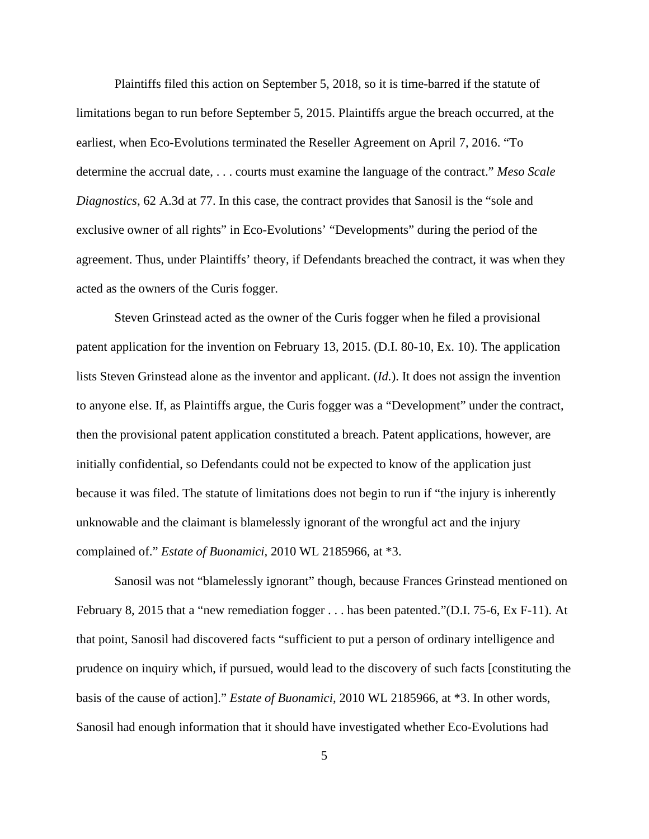Plaintiffs filed this action on September 5, 2018, so it is time-barred if the statute of limitations began to run before September 5, 2015. Plaintiffs argue the breach occurred, at the earliest, when Eco-Evolutions terminated the Reseller Agreement on April 7, 2016. "To determine the accrual date, . . . courts must examine the language of the contract." *Meso Scale Diagnostics*, 62 A.3d at 77. In this case, the contract provides that Sanosil is the "sole and exclusive owner of all rights" in Eco-Evolutions' "Developments" during the period of the agreement. Thus, under Plaintiffs' theory, if Defendants breached the contract, it was when they acted as the owners of the Curis fogger.

Steven Grinstead acted as the owner of the Curis fogger when he filed a provisional patent application for the invention on February 13, 2015. (D.I. 80-10, Ex. 10). The application lists Steven Grinstead alone as the inventor and applicant. (*Id.*). It does not assign the invention to anyone else. If, as Plaintiffs argue, the Curis fogger was a "Development" under the contract, then the provisional patent application constituted a breach. Patent applications, however, are initially confidential, so Defendants could not be expected to know of the application just because it was filed. The statute of limitations does not begin to run if "the injury is inherently unknowable and the claimant is blamelessly ignorant of the wrongful act and the injury complained of." *Estate of Buonamici,* 2010 WL 2185966, at \*3.

Sanosil was not "blamelessly ignorant" though, because Frances Grinstead mentioned on February 8, 2015 that a "new remediation fogger . . . has been patented."(D.I. 75-6, Ex F-11). At that point, Sanosil had discovered facts "sufficient to put a person of ordinary intelligence and prudence on inquiry which, if pursued, would lead to the discovery of such facts [constituting the basis of the cause of action]." *Estate of Buonamici*, 2010 WL 2185966, at \*3. In other words, Sanosil had enough information that it should have investigated whether Eco-Evolutions had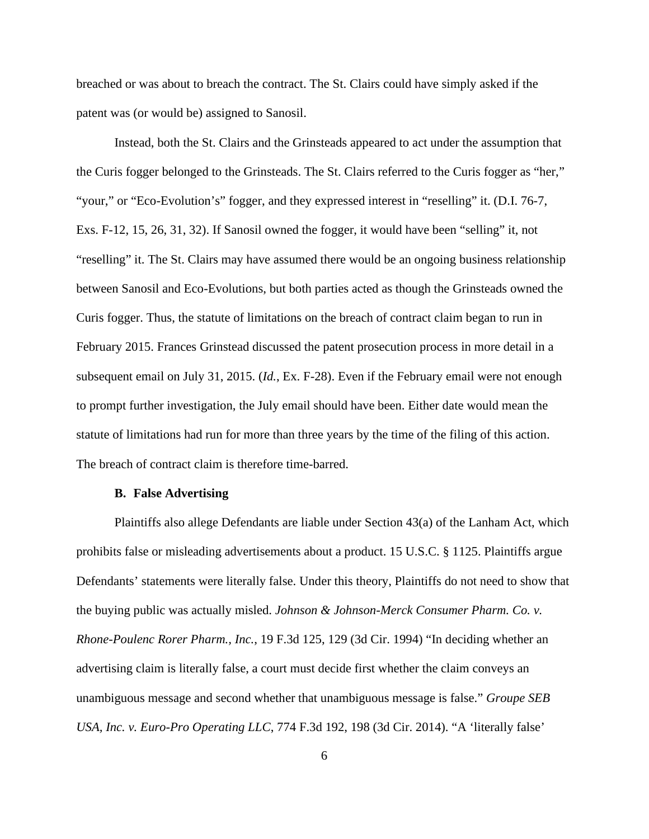breached or was about to breach the contract. The St. Clairs could have simply asked if the patent was (or would be) assigned to Sanosil.

Instead, both the St. Clairs and the Grinsteads appeared to act under the assumption that the Curis fogger belonged to the Grinsteads. The St. Clairs referred to the Curis fogger as "her," "your," or "Eco-Evolution's" fogger, and they expressed interest in "reselling" it. (D.I. 76-7, Exs. F-12, 15, 26, 31, 32). If Sanosil owned the fogger, it would have been "selling" it, not "reselling" it. The St. Clairs may have assumed there would be an ongoing business relationship between Sanosil and Eco-Evolutions, but both parties acted as though the Grinsteads owned the Curis fogger. Thus, the statute of limitations on the breach of contract claim began to run in February 2015. Frances Grinstead discussed the patent prosecution process in more detail in a subsequent email on July 31, 2015. (*Id.*, Ex. F-28). Even if the February email were not enough to prompt further investigation, the July email should have been. Either date would mean the statute of limitations had run for more than three years by the time of the filing of this action. The breach of contract claim is therefore time-barred.

#### **B. False Advertising**

Plaintiffs also allege Defendants are liable under Section 43(a) of the Lanham Act, which prohibits false or misleading advertisements about a product. 15 U.S.C. § 1125. Plaintiffs argue Defendants' statements were literally false. Under this theory, Plaintiffs do not need to show that the buying public was actually misled. *Johnson & Johnson-Merck Consumer Pharm. Co. v. Rhone-Poulenc Rorer Pharm., Inc.*, 19 F.3d 125, 129 (3d Cir. 1994) "In deciding whether an advertising claim is literally false, a court must decide first whether the claim conveys an unambiguous message and second whether that unambiguous message is false." *Groupe SEB USA, Inc. v. Euro-Pro Operating LLC*, 774 F.3d 192, 198 (3d Cir. 2014). "A 'literally false'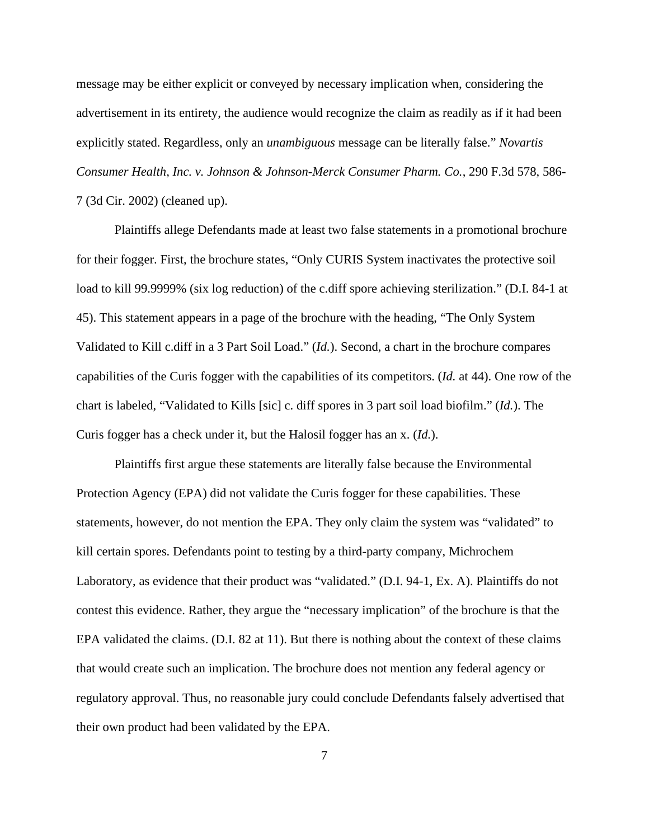message may be either explicit or conveyed by necessary implication when, considering the advertisement in its entirety, the audience would recognize the claim as readily as if it had been explicitly stated. Regardless, only an *unambiguous* message can be literally false." *Novartis Consumer Health, Inc. v. Johnson & Johnson-Merck Consumer Pharm. Co.*, 290 F.3d 578, 586- 7 (3d Cir. 2002) (cleaned up).

Plaintiffs allege Defendants made at least two false statements in a promotional brochure for their fogger. First, the brochure states, "Only CURIS System inactivates the protective soil load to kill 99.9999% (six log reduction) of the c.diff spore achieving sterilization." (D.I. 84-1 at 45). This statement appears in a page of the brochure with the heading, "The Only System Validated to Kill c.diff in a 3 Part Soil Load." (*Id.*). Second, a chart in the brochure compares capabilities of the Curis fogger with the capabilities of its competitors. (*Id.* at 44). One row of the chart is labeled, "Validated to Kills [sic] c. diff spores in 3 part soil load biofilm." (*Id.*). The Curis fogger has a check under it, but the Halosil fogger has an x. (*Id.*).

Plaintiffs first argue these statements are literally false because the Environmental Protection Agency (EPA) did not validate the Curis fogger for these capabilities. These statements, however, do not mention the EPA. They only claim the system was "validated" to kill certain spores. Defendants point to testing by a third-party company, Michrochem Laboratory, as evidence that their product was "validated." (D.I. 94-1, Ex. A). Plaintiffs do not contest this evidence. Rather, they argue the "necessary implication" of the brochure is that the EPA validated the claims. (D.I. 82 at 11). But there is nothing about the context of these claims that would create such an implication. The brochure does not mention any federal agency or regulatory approval. Thus, no reasonable jury could conclude Defendants falsely advertised that their own product had been validated by the EPA.

7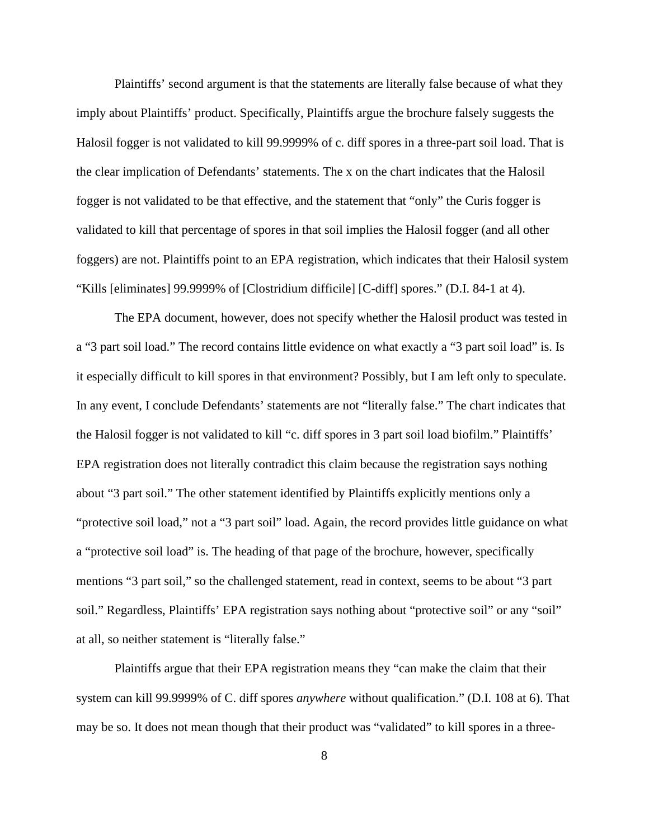Plaintiffs' second argument is that the statements are literally false because of what they imply about Plaintiffs' product. Specifically, Plaintiffs argue the brochure falsely suggests the Halosil fogger is not validated to kill 99.9999% of c. diff spores in a three-part soil load. That is the clear implication of Defendants' statements. The x on the chart indicates that the Halosil fogger is not validated to be that effective, and the statement that "only" the Curis fogger is validated to kill that percentage of spores in that soil implies the Halosil fogger (and all other foggers) are not. Plaintiffs point to an EPA registration, which indicates that their Halosil system "Kills [eliminates] 99.9999% of [Clostridium difficile] [C-diff] spores." (D.I. 84-1 at 4).

The EPA document, however, does not specify whether the Halosil product was tested in a "3 part soil load." The record contains little evidence on what exactly a "3 part soil load" is. Is it especially difficult to kill spores in that environment? Possibly, but I am left only to speculate. In any event, I conclude Defendants' statements are not "literally false." The chart indicates that the Halosil fogger is not validated to kill "c. diff spores in 3 part soil load biofilm." Plaintiffs' EPA registration does not literally contradict this claim because the registration says nothing about "3 part soil." The other statement identified by Plaintiffs explicitly mentions only a "protective soil load," not a "3 part soil" load. Again, the record provides little guidance on what a "protective soil load" is. The heading of that page of the brochure, however, specifically mentions "3 part soil," so the challenged statement, read in context, seems to be about "3 part soil." Regardless, Plaintiffs' EPA registration says nothing about "protective soil" or any "soil" at all, so neither statement is "literally false."

Plaintiffs argue that their EPA registration means they "can make the claim that their system can kill 99.9999% of C. diff spores *anywhere* without qualification." (D.I. 108 at 6). That may be so. It does not mean though that their product was "validated" to kill spores in a three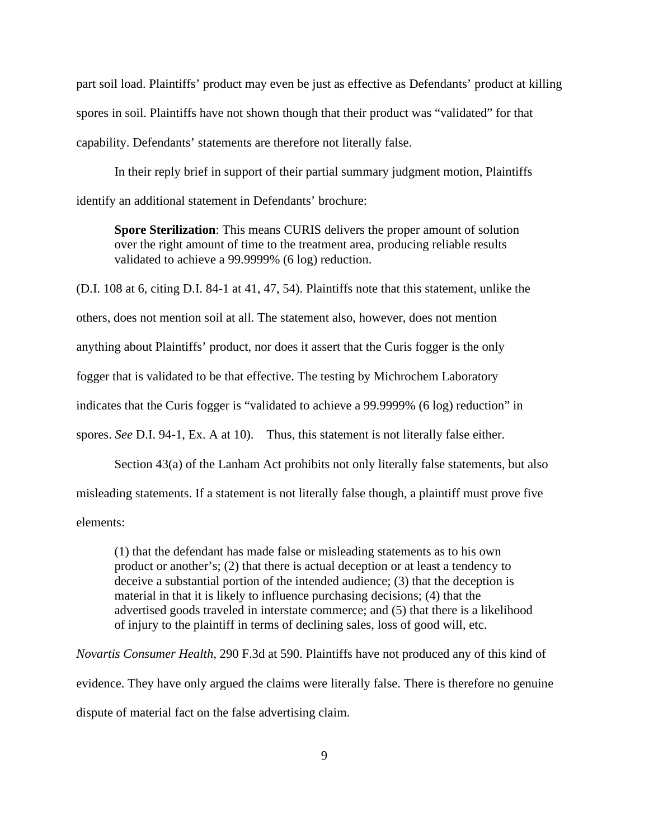part soil load. Plaintiffs' product may even be just as effective as Defendants' product at killing spores in soil. Plaintiffs have not shown though that their product was "validated" for that capability. Defendants' statements are therefore not literally false.

In their reply brief in support of their partial summary judgment motion, Plaintiffs identify an additional statement in Defendants' brochure:

**Spore Sterilization**: This means CURIS delivers the proper amount of solution over the right amount of time to the treatment area, producing reliable results validated to achieve a 99.9999% (6 log) reduction.

(D.I. 108 at 6, citing D.I. 84-1 at 41, 47, 54). Plaintiffs note that this statement, unlike the others, does not mention soil at all. The statement also, however, does not mention anything about Plaintiffs' product, nor does it assert that the Curis fogger is the only fogger that is validated to be that effective. The testing by Michrochem Laboratory indicates that the Curis fogger is "validated to achieve a 99.9999% (6 log) reduction" in spores. *See* D.I. 94-1, Ex. A at 10). Thus, this statement is not literally false either.

Section 43(a) of the Lanham Act prohibits not only literally false statements, but also misleading statements. If a statement is not literally false though, a plaintiff must prove five elements:

(1) that the defendant has made false or misleading statements as to his own product or another's; (2) that there is actual deception or at least a tendency to deceive a substantial portion of the intended audience; (3) that the deception is material in that it is likely to influence purchasing decisions; (4) that the advertised goods traveled in interstate commerce; and (5) that there is a likelihood of injury to the plaintiff in terms of declining sales, loss of good will, etc.

*Novartis Consumer Health*, 290 F.3d at 590. Plaintiffs have not produced any of this kind of evidence. They have only argued the claims were literally false. There is therefore no genuine dispute of material fact on the false advertising claim.